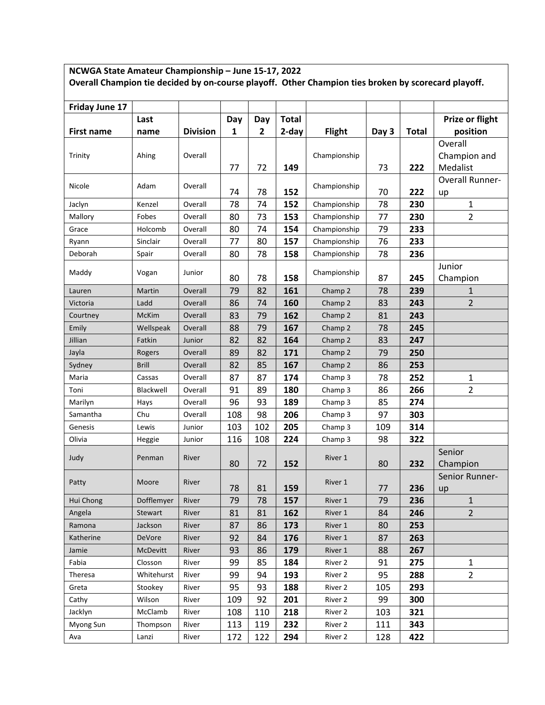## **NCWGA State Amateur Championship – June 15‐17, 2022 Overall Champion tie decided by on‐course playoff. Other Champion ties broken by scorecard playoff.**

| Friday June 17    |              |                 |     |     |              |                           |       |              |                        |  |
|-------------------|--------------|-----------------|-----|-----|--------------|---------------------------|-------|--------------|------------------------|--|
|                   | Last         |                 | Day | Day | <b>Total</b> |                           |       |              | Prize or flight        |  |
| <b>First name</b> | name         | <b>Division</b> | 1   | 2   | 2-day        | <b>Flight</b>             | Day 3 | <b>Total</b> | position               |  |
|                   |              |                 |     |     |              |                           |       |              | Overall                |  |
| Trinity           | Ahing        | Overall         |     |     |              | Championship              |       |              | Champion and           |  |
|                   |              |                 | 77  | 72  | 149          |                           | 73    | 222          | Medalist               |  |
| Nicole            | Adam         | Overall         |     |     |              | Championship              |       |              | <b>Overall Runner-</b> |  |
|                   |              |                 | 74  | 78  | 152          |                           | 70    | 222          | up                     |  |
| Jaclyn            | Kenzel       | Overall         | 78  | 74  | 152          | Championship              | 78    | 230          | 1                      |  |
| Mallory           | Fobes        | Overall         | 80  | 73  | 153          | Championship              | 77    | 230          | $\overline{2}$         |  |
| Grace             | Holcomb      | Overall         | 80  | 74  | 154          | Championship              | 79    | 233          |                        |  |
| Ryann             | Sinclair     | Overall         | 77  | 80  | 157          | 76<br>233<br>Championship |       |              |                        |  |
| Deborah           | Spair        | Overall         | 80  | 78  | 158          | Championship              | 78    | 236          |                        |  |
| Maddy             | Vogan        | Junior          | 80  | 78  | 158          | Championship              |       |              | Junior                 |  |
|                   |              |                 |     |     |              |                           | 87    | 245          | Champion               |  |
| Lauren            | Martin       | Overall         | 79  | 82  | 161          | Champ 2                   | 78    | 239          | 1                      |  |
| Victoria          | Ladd         | Overall         | 86  | 74  | 160          | Champ 2                   | 83    | 243          |                        |  |
| Courtney          | <b>McKim</b> | Overall         | 83  | 79  | 162          | Champ 2                   | 81    | 243          |                        |  |
| Emily             | Wellspeak    | Overall         | 88  | 79  | 167          | Champ 2                   | 78    | 245          |                        |  |
| Jillian           | Fatkin       | Junior          | 82  | 82  | 164          | Champ 2                   | 83    | 247          |                        |  |
| Jayla             | Rogers       | Overall         | 89  | 82  | 171          | Champ 2                   | 79    | 250          |                        |  |
| Sydney            | <b>Brill</b> | Overall         | 82  | 85  | 167          | Champ 2                   | 86    | 253          |                        |  |
| Maria             | Cassas       | Overall         | 87  | 87  | 174          | Champ 3                   | 78    | 252          | 1                      |  |
| Toni              | Blackwell    | Overall         | 91  | 89  | 180          | Champ 3                   | 86    | 266          | $\overline{2}$         |  |
| Marilyn           | Hays         | Overall         | 96  | 93  | 189          | Champ 3                   | 85    | 274          |                        |  |
| Samantha          | Chu          | Overall         | 108 | 98  | 206          | Champ 3                   | 97    | 303          |                        |  |
| Genesis           | Lewis        | Junior          | 103 | 102 | 205          | Champ 3                   | 109   | 314          |                        |  |
| Olivia            | Heggie       | Junior          | 116 | 108 | 224          | Champ 3                   | 98    | 322          |                        |  |
| Judy              | Penman       | River           |     |     |              | River 1                   |       |              | Senior                 |  |
|                   |              |                 | 80  | 72  | 152          |                           | 80    | 232          | Champion               |  |
| Patty             | Moore        | River           | 78  | 81  | 159          | River 1                   |       |              | Senior Runner-         |  |
|                   |              |                 |     |     |              |                           | 77    | 236          | up                     |  |
| Hui Chong         | Dofflemyer   | River           | 79  | 78  | 157          | River 1                   | 79    | 236          | $\mathbf{1}$           |  |
| Angela            | Stewart      | River           | 81  | 81  | 162          | River 1                   | 84    | 246          | $\overline{2}$         |  |
| Ramona            | Jackson      | River           | 87  | 86  | 173          | River 1                   | 80    | 253          |                        |  |
| Katherine         | DeVore       | River           | 92  | 84  | 176          | River 1                   | 87    | 263          |                        |  |
| Jamie             | McDevitt     | River           | 93  | 86  | 179          | River 1                   | 88    | 267          |                        |  |
| Fabia             | Closson      | River           | 99  | 85  | 184          | River 2                   | 91    | 275          | 1                      |  |
| Theresa           | Whitehurst   | River           | 99  | 94  | 193          | River <sub>2</sub>        | 95    | 288          | $\overline{2}$         |  |
| Greta             | Stookey      | River           | 95  | 93  | 188          | River <sub>2</sub>        | 105   | 293          |                        |  |
| Cathy             | Wilson       | River           | 109 | 92  | 201          | River <sub>2</sub>        | 99    | 300          |                        |  |
| Jacklyn           | McClamb      | River           | 108 | 110 | 218          | River <sub>2</sub>        | 103   | 321          |                        |  |
| Myong Sun         | Thompson     | River           | 113 | 119 | 232          | River 2                   | 111   | 343          |                        |  |
| Ava               | Lanzi        | River           | 172 | 122 | 294          | River 2                   | 128   | 422          |                        |  |